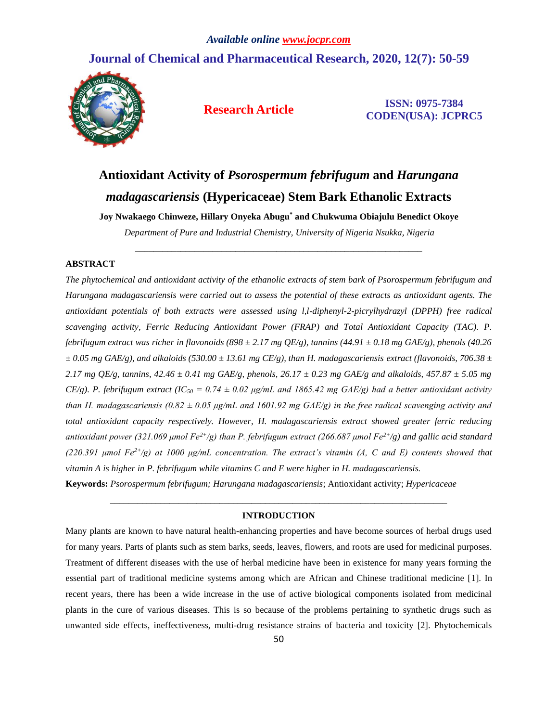# **Journal of Chemical and Pharmaceutical Research, 2020, 12(7): 50-59**



**Research Article ISSN: 0975-7384 CODEN(USA): JCPRC5**

# **Antioxidant Activity of** *Psorospermum febrifugum* **and** *Harungana madagascariensis* **(Hypericaceae) Stem Bark Ethanolic Extracts**

**Joy Nwakaego Chinweze, Hillary Onyeka Abugu\* and Chukwuma Obiajulu Benedict Okoye**

*Department of Pure and Industrial Chemistry, University of Nigeria Nsukka, Nigeria* \_\_\_\_\_\_\_\_\_\_\_\_\_\_\_\_\_\_\_\_\_\_\_\_\_\_\_\_\_\_\_\_\_\_\_\_\_\_\_\_\_\_\_\_\_\_\_\_\_\_\_\_\_\_\_\_\_\_\_\_\_\_\_

# **ABSTRACT**

*The phytochemical and antioxidant activity of the ethanolic extracts of stem bark of Psorospermum febrifugum and Harungana madagascariensis were carried out to assess the potential of these extracts as antioxidant agents. The antioxidant potentials of both extracts were assessed using l,l-diphenyl-2-picrylhydrazyl (DPPH) free radical scavenging activity, Ferric Reducing Antioxidant Power (FRAP) and Total Antioxidant Capacity (TAC). P. febrifugum extract was richer in flavonoids (898*  $\pm$  *2.17 mg QE/g), tannins (44.91*  $\pm$  *0.18 mg GAE/g), phenols (40.26*  $\pm 0.05$  mg GAE/g), and alkaloids (530.00  $\pm 13.61$  mg CE/g), than H. madagascariensis extract (flavonoids, 706.38  $\pm$ *2.17 mg QE/g, tannins, 42.46 ± 0.41 mg GAE/g, phenols, 26.17 ± 0.23 mg GAE/g and alkaloids, 457.87 ± 5.05 mg CE/g). P. febrifugum extract (IC<sub>50</sub> = 0.74*  $\pm$  *0.02 µg/mL and 1865.42 mg GAE/g) had a better antioxidant activity than H. madagascariensis (0.82 ± 0.05 μg/mL and 1601.92 mg GAE/g) in the free radical scavenging activity and total antioxidant capacity respectively. However, H. madagascariensis extract showed greater ferric reducing antioxidant power (321.069 μmol Fe2+/g) than P. febrifugum extract (266.687 μmol Fe2+/g) and gallic acid standard (220.391 μmol Fe2+/g) at 1000 μg/mL concentration. The extract's vitamin (A, C and E) contents showed that vitamin A is higher in P. febrifugum while vitamins C and E were higher in H. madagascariensis.*

**Keywords:** *Psorospermum febrifugum; Harungana madagascariensis*; Antioxidant activity; *Hypericaceae*

# *\_\_\_\_\_\_\_\_\_\_\_\_\_\_\_\_\_\_\_\_\_\_\_\_\_\_\_\_\_\_\_\_\_\_\_\_\_\_\_\_\_\_\_\_\_\_\_\_\_\_\_\_\_\_\_\_\_\_\_\_\_\_\_\_\_\_\_\_\_\_\_\_\_\_* **INTRODUCTION**

Many plants are known to have natural health-enhancing properties and have become sources of herbal drugs used for many years. Parts of plants such as stem barks, seeds, leaves, flowers, and roots are used for medicinal purposes. Treatment of different diseases with the use of herbal medicine have been in existence for many years forming the essential part of traditional medicine systems among which are African and Chinese traditional medicine [1]. In recent years, there has been a wide increase in the use of active biological components isolated from medicinal plants in the cure of various diseases. This is so because of the problems pertaining to synthetic drugs such as unwanted side effects, ineffectiveness, multi-drug resistance strains of bacteria and toxicity [2]. Phytochemicals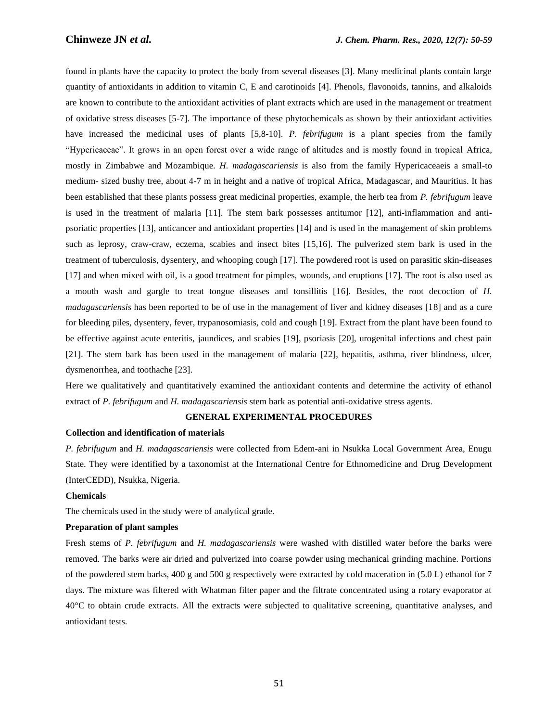found in plants have the capacity to protect the body from several diseases [3]. Many medicinal plants contain large quantity of antioxidants in addition to vitamin C, E and carotinoids [4]. Phenols, flavonoids, tannins, and alkaloids are known to contribute to the antioxidant activities of plant extracts which are used in the management or treatment of oxidative stress diseases [5-7]. The importance of these phytochemicals as shown by their antioxidant activities have increased the medicinal uses of plants [5,8-10]. *P. febrifugum* is a plant species from the family "Hypericaceae". It grows in an open forest over a wide range of altitudes and is mostly found in tropical Africa, mostly in Zimbabwe and Mozambique. *H. madagascariensis* is also from the family Hypericaceaeis a small-to medium- sized bushy tree, about 4-7 m in height and a native of tropical Africa, Madagascar, and Mauritius. It has been established that these plants possess great medicinal properties, example, the herb tea from *P. febrifugum* leave is used in the treatment of malaria [11]. The stem bark possesses antitumor [12], anti-inflammation and antipsoriatic properties [13], anticancer and antioxidant properties [14] and is used in the management of skin problems such as leprosy, craw-craw, eczema, scabies and insect bites [15,16]. The pulverized stem bark is used in the treatment of tuberculosis, dysentery, and whooping cough [17]. The powdered root is used on parasitic skin-diseases [17] and when mixed with oil, is a good treatment for pimples, wounds, and eruptions [17]. The root is also used as a mouth wash and gargle to treat tongue diseases and tonsillitis [16]. Besides, the root decoction of *H. madagascariensis* has been reported to be of use in the management of liver and kidney diseases [18] and as a cure for bleeding piles, dysentery, fever, trypanosomiasis, cold and cough [19]. Extract from the plant have been found to be effective against acute enteritis, jaundices, and scabies [19], psoriasis [20], urogenital infections and chest pain [21]. The stem bark has been used in the management of malaria [22], hepatitis, asthma, river blindness, ulcer, dysmenorrhea, and toothache [23].

Here we qualitatively and quantitatively examined the antioxidant contents and determine the activity of ethanol extract of *P. febrifugum* and *H. madagascariensis* stem bark as potential anti-oxidative stress agents.

#### **GENERAL EXPERIMENTAL PROCEDURES**

## **Collection and identification of materials**

*P. febrifugum* and *H. madagascariensis* were collected from Edem-ani in Nsukka Local Government Area, Enugu State. They were identified by a taxonomist at the International Centre for Ethnomedicine and Drug Development (InterCEDD), Nsukka, Nigeria.

# **Chemicals**

The chemicals used in the study were of analytical grade.

# **Preparation of plant samples**

Fresh stems of *P. febrifugum* and *H. madagascariensis* were washed with distilled water before the barks were removed. The barks were air dried and pulverized into coarse powder using mechanical grinding machine. Portions of the powdered stem barks, 400 g and 500 g respectively were extracted by cold maceration in (5.0 L) ethanol for 7 days. The mixture was filtered with Whatman filter paper and the filtrate concentrated using a rotary evaporator at 40°C to obtain crude extracts. All the extracts were subjected to qualitative screening, quantitative analyses, and antioxidant tests.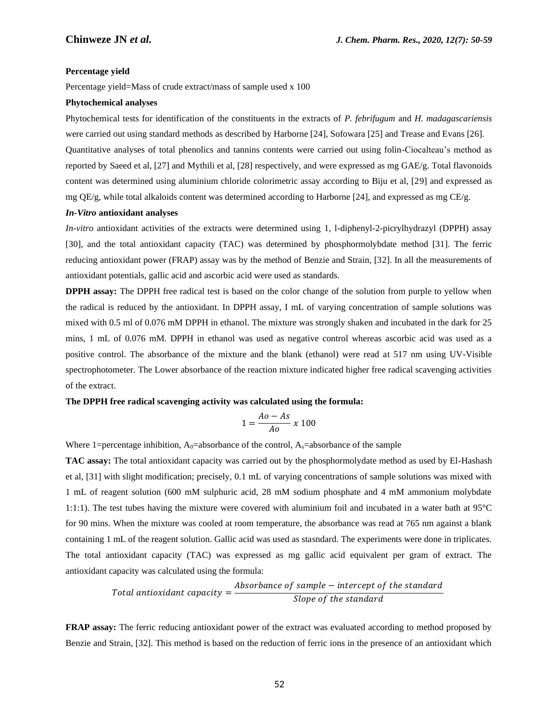#### **Percentage yield**

Percentage yield=Mass of crude extract/mass of sample used x 100

#### **Phytochemical analyses**

Phytochemical tests for identification of the constituents in the extracts of *P. febrifugum* and *H. madagascariensis* were carried out using standard methods as described by Harborne [24], Sofowara [25] and Trease and Evans [26].

Quantitative analyses of total phenolics and tannins contents were carried out using folin-Ciocalteau's method as reported by Saeed et al, [27] and Mythili et al, [28] respectively, and were expressed as mg GAE/g. Total flavonoids content was determined using aluminium chloride colorimetric assay according to Biju et al, [29] and expressed as mg  $OE/g$ , while total alkaloids content was determined according to Harborne [24], and expressed as mg  $CE/g$ .

## *In-Vitro* **antioxidant analyses**

*In-vitro* antioxidant activities of the extracts were determined using 1, l-diphenyl-2-picrylhydrazyl (DPPH) assay [30], and the total antioxidant capacity (TAC) was determined by phosphormolybdate method [31]. The ferric reducing antioxidant power (FRAP) assay was by the method of Benzie and Strain, [32]. In all the measurements of antioxidant potentials, gallic acid and ascorbic acid were used as standards.

**DPPH assay:** The DPPH free radical test is based on the color change of the solution from purple to yellow when the radical is reduced by the antioxidant. In DPPH assay, I mL of varying concentration of sample solutions was mixed with 0.5 ml of 0.076 mM DPPH in ethanol. The mixture was strongly shaken and incubated in the dark for 25 mins, 1 mL of 0.076 mM. DPPH in ethanol was used as negative control whereas ascorbic acid was used as a positive control. The absorbance of the mixture and the blank (ethanol) were read at 517 nm using UV-Visible spectrophotometer. The Lower absorbance of the reaction mixture indicated higher free radical scavenging activities of the extract.

# **The DPPH free radical scavenging activity was calculated using the formula:**

$$
1 = \frac{Ao - As}{Ao} \times 100
$$

Where 1=percentage inhibition,  $A_0$ =absorbance of the control,  $A_3$ =absorbance of the sample

**TAC assay:** The total antioxidant capacity was carried out by the phosphormolydate method as used by El-Hashash et al, [31] with slight modification; precisely, 0.1 mL of varying concentrations of sample solutions was mixed with 1 mL of reagent solution (600 mM sulphuric acid, 28 mM sodium phosphate and 4 mM ammonium molybdate 1:1:1). The test tubes having the mixture were covered with aluminium foil and incubated in a water bath at 95°C for 90 mins. When the mixture was cooled at room temperature, the absorbance was read at 765 nm against a blank containing 1 mL of the reagent solution. Gallic acid was used as stasndard. The experiments were done in triplicates. The total antioxidant capacity (TAC) was expressed as mg gallic acid equivalent per gram of extract. The antioxidant capacity was calculated using the formula:

Total antioxidant capacity = 
$$
\frac{Absorbance of sample - intercept of the standard\nSlope of the standard
$$

**FRAP assay:** The ferric reducing antioxidant power of the extract was evaluated according to method proposed by Benzie and Strain, [32]. This method is based on the reduction of ferric ions in the presence of an antioxidant which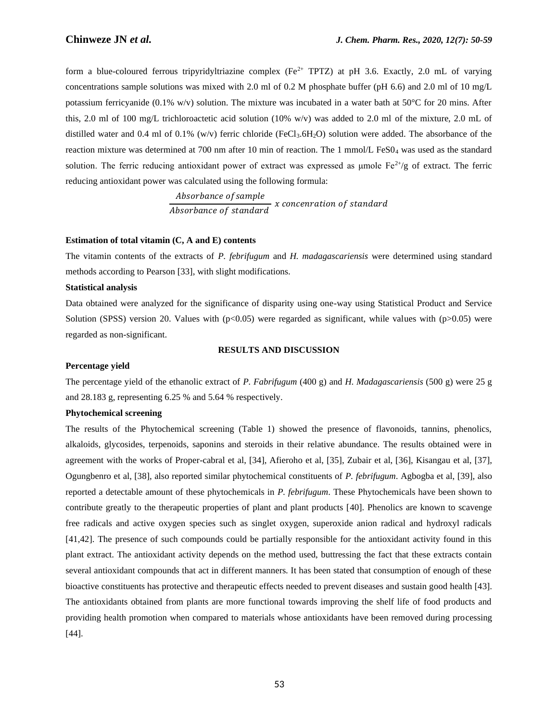form a blue-coloured ferrous tripyridyltriazine complex (Fe<sup>2+</sup> TPTZ) at pH 3.6. Exactly, 2.0 mL of varying concentrations sample solutions was mixed with 2.0 ml of 0.2 M phosphate buffer (pH 6.6) and 2.0 ml of 10 mg/L potassium ferricyanide (0.1% w/v) solution. The mixture was incubated in a water bath at 50 $^{\circ}$ C for 20 mins. After this, 2.0 ml of 100 mg/L trichloroactetic acid solution (10% w/v) was added to 2.0 ml of the mixture, 2.0 mL of distilled water and 0.4 ml of 0.1% (w/v) ferric chloride (FeCl<sub>3</sub>.6H<sub>2</sub>O) solution were added. The absorbance of the reaction mixture was determined at 700 nm after 10 min of reaction. The 1 mmol/L FeS0<sup>4</sup> was used as the standard solution. The ferric reducing antioxidant power of extract was expressed as umole  $Fe^{2+}/g$  of extract. The ferric reducing antioxidant power was calculated using the following formula:

> Absorbance of sample  $\frac{y}{Absorbance\ of\ standard}$  x concenration of standard

# **Estimation of total vitamin (C, A and E) contents**

The vitamin contents of the extracts of *P. febrifugum* and *H. madagascariensis* were determined using standard methods according to Pearson [33], with slight modifications.

#### **Statistical analysis**

Data obtained were analyzed for the significance of disparity using one-way using Statistical Product and Service Solution (SPSS) version 20. Values with  $(p<0.05)$  were regarded as significant, while values with  $(p>0.05)$  were regarded as non-significant.

## **RESULTS AND DISCUSSION**

# **Percentage yield**

The percentage yield of the ethanolic extract of *P. Fabrifugum* (400 g) and *H. Madagascariensis* (500 g) were 25 g and 28.183 g, representing 6.25 % and 5.64 % respectively.

# **Phytochemical screening**

The results of the Phytochemical screening (Table 1) showed the presence of flavonoids, tannins, phenolics, alkaloids, glycosides, terpenoids, saponins and steroids in their relative abundance. The results obtained were in agreement with the works of Proper-cabral et al, [34], Afieroho et al, [35], Zubair et al, [36], Kisangau et al, [37], Ogungbenro et al, [38], also reported similar phytochemical constituents of *P. febrifugum*. Agbogba et al, [39], also reported a detectable amount of these phytochemicals in *P. febrifugum*. These Phytochemicals have been shown to contribute greatly to the therapeutic properties of plant and plant products [40]. Phenolics are known to scavenge free radicals and active oxygen species such as singlet oxygen, superoxide anion radical and hydroxyl radicals [41,42]. The presence of such compounds could be partially responsible for the antioxidant activity found in this plant extract. The antioxidant activity depends on the method used, buttressing the fact that these extracts contain several antioxidant compounds that act in different manners. It has been stated that consumption of enough of these bioactive constituents has protective and therapeutic effects needed to prevent diseases and sustain good health [43]. The antioxidants obtained from plants are more functional towards improving the shelf life of food products and providing health promotion when compared to materials whose antioxidants have been removed during processing [44].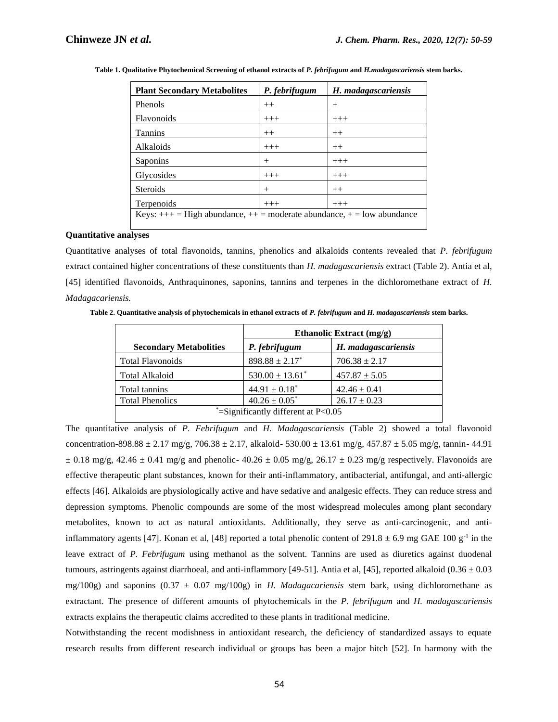| <b>Plant Secondary Metabolites</b>                                         | P. febrifugum | H. madagascariensis |
|----------------------------------------------------------------------------|---------------|---------------------|
| Phenols                                                                    | $++$          | $^{+}$              |
| <b>Flavonoids</b>                                                          | $+++$         | $+++$               |
| <b>Tannins</b>                                                             | $++$          | $++$                |
| Alkaloids                                                                  | $+++$         | $++$                |
| Saponins                                                                   | $^{+}$        | $+++$               |
| Glycosides                                                                 | $+++$         | $+++$               |
| <b>Steroids</b>                                                            | $^{+}$        | $++$                |
| Terpenoids                                                                 | $+++$         | $+++$               |
| Keys: $++$ = High abundance, $++$ = moderate abundance, $+=$ low abundance |               |                     |

**Table 1. Qualitative Phytochemical Screening of ethanol extracts of** *P. febrifugum* **and** *H.madagascariensis* **stem barks.**

# **Quantitative analyses**

Quantitative analyses of total flavonoids, tannins, phenolics and alkaloids contents revealed that *P. febrifugum* extract contained higher concentrations of these constituents than *H. madagascariensis* extract (Table 2). Antia et al, [45] identified flavonoids, Anthraquinones, saponins, tannins and terpenes in the dichloromethane extract of *H. Madagacariensis.*

**Table 2. Quantitative analysis of phytochemicals in ethanol extracts of** *P. febrifugum* **and** *H. madagascariensis* **stem barks.**

|                                       | Ethanolic Extract (mg/g)      |                     |
|---------------------------------------|-------------------------------|---------------------|
| <b>Secondary Metabolities</b>         | P. febrifugum                 | H. madagascariensis |
| <b>Total Flavonoids</b>               | $898.88 \pm 2.17^*$           | $706.38 \pm 2.17$   |
| <b>Total Alkaloid</b>                 | $530.00 \pm 13.61^*$          | $457.87 \pm 5.05$   |
| Total tannins                         | $44.91 \pm 0.18$ <sup>*</sup> | $42.46 \pm 0.41$    |
| <b>Total Phenolics</b>                | $40.26 \pm 0.05^*$            | $26.17 \pm 0.23$    |
| *=Significantly different at $P<0.05$ |                               |                     |

The quantitative analysis of *P. Febrifugum* and *H. Madagascariensis* (Table 2) showed a total flavonoid concentration-898.88  $\pm$  2.17 mg/g, 706.38  $\pm$  2.17, alkaloid-530.00  $\pm$  13.61 mg/g, 457.87  $\pm$  5.05 mg/g, tannin- 44.91  $\pm$  0.18 mg/g, 42.46  $\pm$  0.41 mg/g and phenolic- 40.26  $\pm$  0.05 mg/g, 26.17  $\pm$  0.23 mg/g respectively. Flavonoids are effective therapeutic plant substances, known for their anti-inflammatory, antibacterial, antifungal, and anti-allergic effects [46]. Alkaloids are physiologically active and have sedative and analgesic effects. They can reduce stress and depression symptoms. Phenolic compounds are some of the most widespread molecules among plant secondary metabolites, known to act as natural antioxidants. Additionally, they serve as anti-carcinogenic, and antiinflammatory agents [47]. Konan et al, [48] reported a total phenolic content of 291.8  $\pm$  6.9 mg GAE 100 g<sup>-1</sup> in the leave extract of *P. Febrifugum* using methanol as the solvent. Tannins are used as diuretics against duodenal tumours, astringents against diarrhoeal, and anti-inflammory [49-51]. Antia et al, [45], reported alkaloid  $(0.36 \pm 0.03$ mg/100g) and saponins (0.37 ± 0.07 mg/100g) in *H. Madagacariensis* stem bark, using dichloromethane as extractant. The presence of different amounts of phytochemicals in the *P. febrifugum* and *H. madagascariensis* extracts explains the therapeutic claims accredited to these plants in traditional medicine.

Notwithstanding the recent modishness in antioxidant research, the deficiency of standardized assays to equate research results from different research individual or groups has been a major hitch [52]. In harmony with the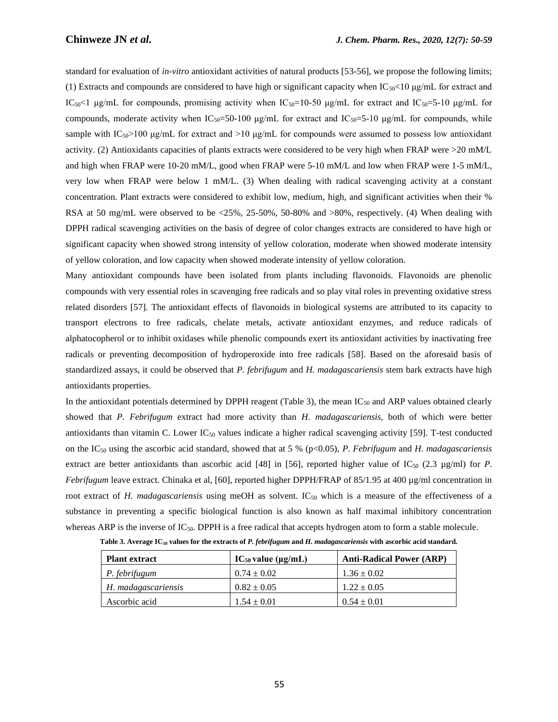standard for evaluation of *in-vitro* antioxidant activities of natural products [53-56], we propose the following limits; (1) Extracts and compounds are considered to have high or significant capacity when  $IC_{50}$ <10  $\mu$ g/mL for extract and IC<sub>50</sub><1 μg/mL for compounds, promising activity when IC<sub>50</sub>=10-50 μg/mL for extract and IC<sub>50</sub>=5-10 μg/mL for compounds, moderate activity when  $IC_{50}=50-100 \mu g/mL$  for extract and  $IC_{50}=5-10 \mu g/mL$  for compounds, while sample with  $IC_{50}$ >100 μg/mL for extract and >10 μg/mL for compounds were assumed to possess low antioxidant activity. (2) Antioxidants capacities of plants extracts were considered to be very high when FRAP were >20 mM/L and high when FRAP were 10-20 mM/L, good when FRAP were 5-10 mM/L and low when FRAP were 1-5 mM/L, very low when FRAP were below 1 mM/L. (3) When dealing with radical scavenging activity at a constant concentration. Plant extracts were considered to exhibit low, medium, high, and significant activities when their % RSA at 50 mg/mL were observed to be <25%, 25-50%, 50-80% and >80%, respectively. (4) When dealing with DPPH radical scavenging activities on the basis of degree of color changes extracts are considered to have high or significant capacity when showed strong intensity of yellow coloration, moderate when showed moderate intensity of yellow coloration, and low capacity when showed moderate intensity of yellow coloration.

Many antioxidant compounds have been isolated from plants including flavonoids. Flavonoids are phenolic compounds with very essential roles in scavenging free radicals and so play vital roles in preventing oxidative stress related disorders [57]. The antioxidant effects of flavonoids in biological systems are attributed to its capacity to transport electrons to free radicals, chelate metals, activate antioxidant enzymes, and reduce radicals of alphatocopherol or to inhibit oxidases while phenolic compounds exert its antioxidant activities by inactivating free radicals or preventing decomposition of hydroperoxide into free radicals [58]. Based on the aforesaid basis of standardized assays, it could be observed that *P. febrifugum* and *H. madagascariensis* stem bark extracts have high antioxidants properties.

In the antioxidant potentials determined by DPPH reagent (Table 3), the mean  $IC_{50}$  and ARP values obtained clearly showed that *P. Febrifugum* extract had more activity than *H. madagascariensis,* both of which were better antioxidants than vitamin C. Lower  $IC_{50}$  values indicate a higher radical scavenging activity [59]. T-test conducted on the IC<sup>50</sup> using the ascorbic acid standard, showed that at 5 % (p<0.05), *P. Febrifugum* and *H. madagascariensis* extract are better antioxidants than ascorbic acid [48] in [56], reported higher value of  $\text{IC}_{50}$  (2.3 µg/ml) for *P*. *Febrifugum* leave extract. Chinaka et al, [60], reported higher DPPH/FRAP of 85/1.95 at 400 µg/ml concentration in root extract of *H. madagascariensis* using meOH as solvent. IC<sub>50</sub> which is a measure of the effectiveness of a substance in preventing a specific biological function is also known as half maximal inhibitory concentration whereas ARP is the inverse of IC<sub>50</sub>. DPPH is a free radical that accepts hydrogen atom to form a stable molecule.

| <b>Plant extract</b> | $IC_{50}$ value ( $\mu$ g/mL) | <b>Anti-Radical Power (ARP)</b> |
|----------------------|-------------------------------|---------------------------------|
| P. febrifugum        | $0.74 \pm 0.02$               | $1.36 \pm 0.02$                 |
| H. madagascariensis  | $0.82 \pm 0.05$               | $1.22 \pm 0.05$                 |
| Ascorbic acid        | $1.54 \pm 0.01$               | $0.54 \pm 0.01$                 |

**Table 3. Average IC<sup>50</sup> values for the extracts of** *P. febrifugum* **and** *H. madagascariensis* **with ascorbic acid standard.**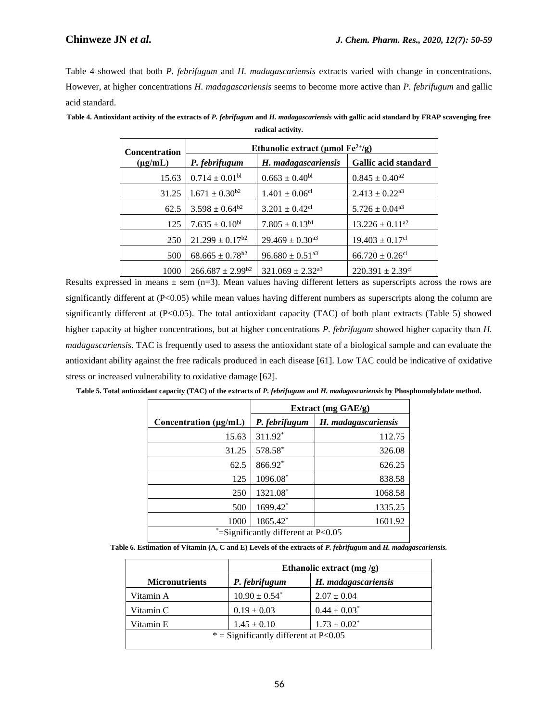Table 4 showed that both *P. febrifugum* and *H. madagascariensis* extracts varied with change in concentrations. However, at higher concentrations *H. madagascariensis* seems to become more active than *P. febrifugum* and gallic acid standard.

| <b>Concentration</b> | Ethanolic extract ( $\mu$ mol Fe <sup>2+</sup> /g) |                                 |                                  |
|----------------------|----------------------------------------------------|---------------------------------|----------------------------------|
| $(\mu g/mL)$         | P. febrifugum                                      | H. madagascariensis             | Gallic acid standard             |
| 15.63                | $0.714 \pm 0.01$ <sup>bl</sup>                     | $0.663 \pm 0.40^{bl}$           | $0.845 \pm 0.40^{a2}$            |
| 31.25                | $1.671 \pm 0.30^{b2}$                              | $1.401 \pm 0.06$ <sup>cl</sup>  | $2.413 \pm 0.22$ <sup>a3</sup>   |
| 62.5                 | $3.598 \pm 0.64^{b2}$                              | $3.201 \pm 0.42$ <sup>cl</sup>  | $5.726 \pm 0.04^{a3}$            |
| 125                  | $7.635 \pm 0.10^{bl}$                              | $7.805 \pm 0.13^{b1}$           | $13.226 \pm 0.11^{a2}$           |
| 250                  | $21.299 \pm 0.17^{b2}$                             | $29.469 \pm 0.30$ <sup>a3</sup> | $19.403 \pm 0.17$ <sup>cl</sup>  |
| 500                  | $68.665 \pm 0.78^{b2}$                             | $96.680 \pm 0.51$ <sup>a3</sup> | $66.720 \pm 0.26$ <sup>cl</sup>  |
| 1000                 | $266.687 \pm 2.99^{b2}$                            | $321.069 + 2.32^{a3}$           | $220.391 \pm 2.39$ <sup>cl</sup> |

**Table 4. Antioxidant activity of the extracts of** *P. febrifugum* **and** *H. madagascariensis* **with gallic acid standard by FRAP scavenging free radical activity.**

Results expressed in means  $\pm$  sem (n=3). Mean values having different letters as superscripts across the rows are significantly different at  $(P<0.05)$  while mean values having different numbers as superscripts along the column are significantly different at (P<0.05). The total antioxidant capacity (TAC) of both plant extracts (Table 5) showed higher capacity at higher concentrations, but at higher concentrations *P. febrifugum* showed higher capacity than *H. madagascariensis*. TAC is frequently used to assess the antioxidant state of a biological sample and can evaluate the antioxidant ability against the free radicals produced in each disease [61]. Low TAC could be indicative of oxidative stress or increased vulnerability to oxidative damage [62].

|                            | Extract $(mg \text{ GAE/g})$ |                     |
|----------------------------|------------------------------|---------------------|
| Concentration $(\mu g/mL)$ | P. febrifugum                | H. madagascariensis |
| 15.63                      | 311.92*                      | 112.75              |
| 31.25                      | 578.58*                      | 326.08              |
| 62.5                       | 866.92*                      | 626.25              |
| 125                        | 1096.08*                     | 838.58              |
| 250                        | 1321.08*                     | 1068.58             |
| 500                        | 1699.42*                     | 1335.25             |

**Table 5. Total antioxidant capacity (TAC) of the extracts of** *P. febrifugum* **and** *H. madagascariensis* **by Phosphomolybdate method.**

|                                                                                                              | $\approx$ =Significantly different at P<0.05 |  |  |
|--------------------------------------------------------------------------------------------------------------|----------------------------------------------|--|--|
| Table 6. Estimation of Vitamin (A, C and E) Levels of the extracts of P. febrifugum and H. madagascariensis. |                                              |  |  |

1000 1865.42\* 1601.92

|                                         | Ethanolic extract (mg/g)      |                     |
|-----------------------------------------|-------------------------------|---------------------|
| <b>Micronutrients</b>                   | P. febrifugum                 | H. madagascariensis |
| Vitamin A                               | $10.90 \pm 0.54$ <sup>*</sup> | $2.07 \pm 0.04$     |
| Vitamin C                               | $0.19 \pm 0.03$               | $0.44 \pm 0.03^*$   |
| Vitamin E                               | $1.45 \pm 0.10$               | $1.73 \pm 0.02^*$   |
| $*$ = Significantly different at P<0.05 |                               |                     |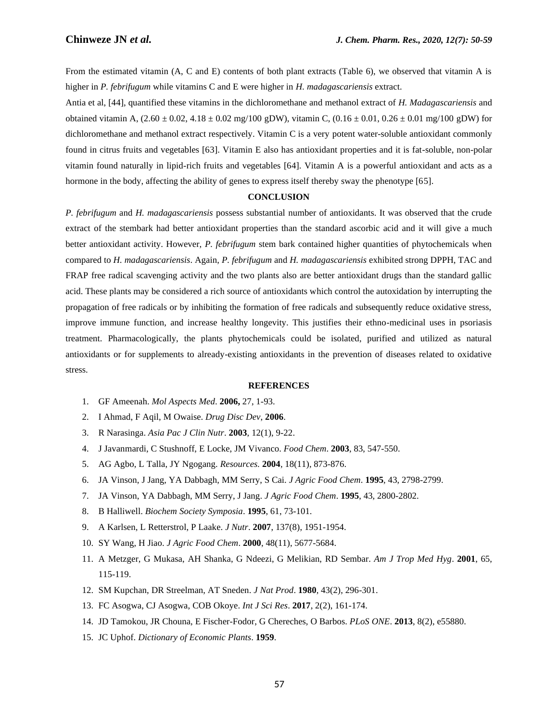From the estimated vitamin (A, C and E) contents of both plant extracts (Table 6), we observed that vitamin A is higher in *P. febrifugum* while vitamins C and E were higher in *H. madagascariensis* extract.

Antia et al, [44], quantified these vitamins in the dichloromethane and methanol extract of *H. Madagascariensis* and obtained vitamin A,  $(2.60 \pm 0.02, 4.18 \pm 0.02 \text{ mg}/100 \text{ gDW})$ , vitamin C,  $(0.16 \pm 0.01, 0.26 \pm 0.01 \text{ mg}/100 \text{ gDW})$  for dichloromethane and methanol extract respectively. Vitamin C is a very potent water-soluble antioxidant commonly found in citrus fruits and vegetables [63]. Vitamin E also has antioxidant properties and it is fat-soluble, non-polar vitamin found naturally in lipid-rich fruits and vegetables [64]. Vitamin A is a powerful antioxidant and acts as a hormone in the body, affecting the ability of genes to express itself thereby sway the phenotype [65].

# **CONCLUSION**

*P. febrifugum* and *H. madagascariensis* possess substantial number of antioxidants. It was observed that the crude extract of the stembark had better antioxidant properties than the standard ascorbic acid and it will give a much better antioxidant activity. However, *P. febrifugum* stem bark contained higher quantities of phytochemicals when compared to *H. madagascariensis*. Again, *P. febrifugum* and *H. madagascariensis* exhibited strong DPPH, TAC and FRAP free radical scavenging activity and the two plants also are better antioxidant drugs than the standard gallic acid. These plants may be considered a rich source of antioxidants which control the autoxidation by interrupting the propagation of free radicals or by inhibiting the formation of free radicals and subsequently reduce oxidative stress, improve immune function, and increase healthy longevity. This justifies their ethno-medicinal uses in psoriasis treatment. Pharmacologically, the plants phytochemicals could be isolated, purified and utilized as natural antioxidants or for supplements to already-existing antioxidants in the prevention of diseases related to oxidative stress.

# **REFERENCES**

- 1. GF Ameenah. *Mol Aspects Med*. **2006,** 27, 1-93.
- 2. I Ahmad, F Aqil, M Owaise. *Drug Disc Dev*, **2006**.
- 3. R Narasinga. *Asia Pac J Clin Nutr*. **2003**, 12(1), 9-22.
- 4. J Javanmardi, C Stushnoff, E Locke, JM Vivanco. *Food Chem*. **2003**, 83, 547-550.
- 5. AG Agbo, L Talla, JY Ngogang. *Resources.* **2004**, 18(11), 873-876.
- 6. JA Vinson, J Jang, YA Dabbagh, MM Serry, S Cai. *J Agric Food Chem*. **1995**, 43, 2798-2799.
- 7. JA Vinson, YA Dabbagh, MM Serry, J Jang. *J Agric Food Chem*. **1995**, 43, 2800-2802.
- 8. B Halliwell. *Biochem Society Symposia*. **1995**, 61, 73-101.
- 9. A Karlsen, L Retterstrol, P Laake. *J Nutr*. **2007**, 137(8), 1951-1954.
- 10. SY Wang, H Jiao. *J Agric Food Chem*. **2000**, 48(11), 5677-5684.
- 11. A Metzger, G Mukasa, AH Shanka, G Ndeezi, G Melikian, RD Sembar. *Am J Trop Med Hyg*. **2001**, 65, 115-119.
- 12. SM Kupchan, DR Streelman, AT Sneden. *J Nat Prod*. **1980**, 43(2), 296-301.
- 13. FC Asogwa, CJ Asogwa, COB Okoye. *Int J Sci Res*. **2017**, 2(2), 161-174.
- 14. JD Tamokou, JR Chouna, E Fischer-Fodor, G Chereches, O Barbos. *PLoS ONE*. **2013**, 8(2), e55880.
- 15. JC Uphof. *Dictionary of Economic Plants*. **1959**.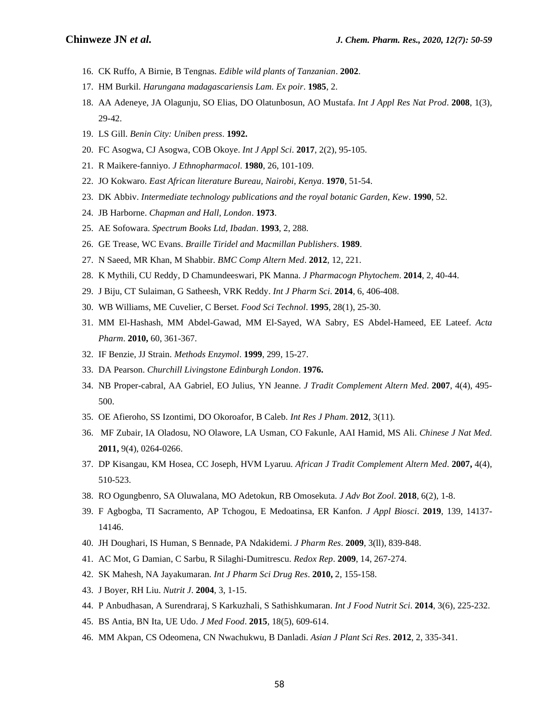- 16. CK Ruffo, A Birnie, B Tengnas. *Edible wild plants of Tanzanian*. **2002**.
- 17. HM Burkil. *Harungana madagascariensis Lam. Ex poir*. **1985**, 2.
- 18. AA Adeneye, JA Olagunju, SO Elias, DO Olatunbosun, AO Mustafa. *Int J Appl Res Nat Prod*. **2008**, 1(3), 29-42.
- 19. LS Gill. *Benin City: Uniben press*. **1992.**
- 20. FC Asogwa, CJ Asogwa, COB Okoye. *Int J Appl Sci*. **2017**, 2(2), 95-105.
- 21. R Maikere-fanniyo. *J Ethnopharmacol*. **1980**, 26, 101-109.
- 22. JO Kokwaro. *East African literature Bureau, Nairobi, Kenya*. **1970**, 51-54.
- 23. DK Abbiv. *Intermediate technology publications and the royal botanic Garden, Kew*. **1990**, 52.
- 24. JB Harborne. *Chapman and Hall, London*. **1973**.
- 25. AE Sofowara. *Spectrum Books Ltd, Ibadan*. **1993**, 2, 288.
- 26. GE Trease, WC Evans. *Braille Tiridel and Macmillan Publishers*. **1989**.
- 27. N Saeed, MR Khan, M Shabbir. *BMC Comp Altern Med*. **2012**, 12, 221.
- 28. K Mythili, CU Reddy, D Chamundeeswari, PK Manna. *J Pharmacogn Phytochem*. **2014**, 2, 40-44.
- 29. J Biju, CT Sulaiman, G Satheesh, VRK Reddy. *Int J Pharm Sci*. **2014**, 6, 406-408.
- 30. WB Williams, ME Cuvelier, C Berset. *Food Sci Technol*. **1995**, 28(1), 25-30.
- 31. MM El-Hashash, MM Abdel-Gawad, MM El-Sayed, WA Sabry, ES Abdel-Hameed, EE Lateef. *Acta Pharm*. **2010,** 60, 361-367.
- 32. IF Benzie, JJ Strain. *Methods Enzymol*. **1999**, 299, 15-27.
- 33. DA Pearson. *Churchill Livingstone Edinburgh London*. **1976.**
- 34. NB Proper-cabral, AA Gabriel, EO Julius, YN Jeanne. *J Tradit Complement Altern Med*. **2007**, 4(4), 495- 500.
- 35. OE Afieroho, SS Izontimi, DO Okoroafor, B Caleb. *Int Res J Pham*. **2012**, 3(11).
- 36. MF Zubair, IA Oladosu, NO Olawore, LA Usman, CO Fakunle, AAI Hamid, MS Ali. *Chinese J Nat Med*. **2011,** 9(4), 0264-0266.
- 37. DP Kisangau, KM Hosea, CC Joseph, HVM Lyaruu. *African J Tradit Complement Altern Med*. **2007,** 4(4), 510-523.
- 38. RO Ogungbenro, SA Oluwalana, MO Adetokun, RB Omosekuta. *J Adv Bot Zool*. **2018**, 6(2), 1-8.
- 39. F Agbogba, TI Sacramento, AP Tchogou, E Medoatinsa, ER Kanfon. *J Appl Biosci*. **2019**, 139, 14137- 14146.
- 40. JH Doughari, IS Human, S Bennade, PA Ndakidemi. *J Pharm Res*. **2009**, 3(ll), 839-848.
- 41. AC Mot, G Damian, C Sarbu, R Silaghi-Dumitrescu. *Redox Rep*. **2009**, 14, 267-274.
- 42. SK Mahesh, NA Jayakumaran. *Int J Pharm Sci Drug Res*. **2010,** 2, 155-158.
- 43. J Boyer, RH Liu. *Nutrit J*. **2004**, 3, 1-15.
- 44. P Anbudhasan, A Surendraraj, S Karkuzhali, S Sathishkumaran. *Int J Food Nutrit Sci*. **2014**, 3(6), 225-232.
- 45. BS Antia, BN Ita, UE Udo. *J Med Food*. **2015**, 18(5), 609-614.
- 46. MM Akpan, CS Odeomena, CN Nwachukwu, B Danladi. *Asian J Plant Sci Res*. **2012**, 2, 335-341.